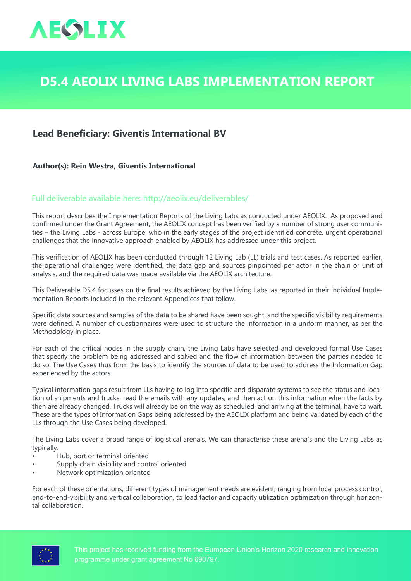

## **D5.4 AEOLIX Living Labs Implementation Report**

## **Lead Beneficiary: Giventis International BV**

**Author(s): Rein Westra, Giventis International** 

## Full deliverable available here: <http://aeolix.eu/deliverables/>

This report describes the Implementation Reports of the Living Labs as conducted under AEOLIX. As proposed and confirmed under the Grant Agreement, the AEOLIX concept has been verified by a number of strong user communities – the Living Labs - across Europe, who in the early stages of the project identified concrete, urgent operational challenges that the innovative approach enabled by AEOLIX has addressed under this project.

This verification of AEOLIX has been conducted through 12 Living Lab (LL) trials and test cases. As reported earlier, the operational challenges were identified, the data gap and sources pinpointed per actor in the chain or unit of analysis, and the required data was made available via the AEOLIX architecture.

This Deliverable D5.4 focusses on the final results achieved by the Living Labs, as reported in their individual Implementation Reports included in the relevant Appendices that follow.

Specific data sources and samples of the data to be shared have been sought, and the specific visibility requirements were defined. A number of questionnaires were used to structure the information in a uniform manner, as per the Methodology in place.

For each of the critical nodes in the supply chain, the Living Labs have selected and developed formal Use Cases that specify the problem being addressed and solved and the flow of information between the parties needed to do so. The Use Cases thus form the basis to identify the sources of data to be used to address the Information Gap experienced by the actors.

Typical information gaps result from LLs having to log into specific and disparate systems to see the status and location of shipments and trucks, read the emails with any updates, and then act on this information when the facts by then are already changed. Trucks will already be on the way as scheduled, and arriving at the terminal, have to wait. These are the types of Information Gaps being addressed by the AEOLIX platform and being validated by each of the LLs through the Use Cases being developed.

The Living Labs cover a broad range of logistical arena's. We can characterise these arena's and the Living Labs as typically:

- Hub, port or terminal oriented
- Supply chain visibility and control oriented
- Network optimization oriented

For each of these orientations, different types of management needs are evident, ranging from local process control, end-to-end-visibility and vertical collaboration, to load factor and capacity utilization optimization through horizontal collaboration.